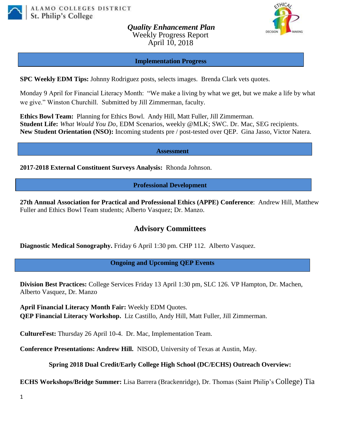

*Quality Enhancement Plan* Weekly Progress Report April 10, 2018



#### **Implementation Progress**

**SPC Weekly EDM Tips:** Johnny Rodriguez posts, selects images. Brenda Clark vets quotes.

Monday 9 April for Financial Literacy Month: "We make a living by what we get, but we make a life by what we give." Winston Churchill. Submitted by Jill Zimmerman, faculty.

**Ethics Bowl Team:** Planning for Ethics Bowl.Andy Hill, Matt Fuller, Jill Zimmerman. **Student Life:** *What Would You Do*, EDM Scenarios, weekly @MLK; SWC. Dr. Mac, SEG recipients. **New Student Orientation (NSO):** Incoming students pre / post-tested over QEP. Gina Jasso, Victor Natera.

**Assessment**

**2017-2018 External Constituent Surveys Analysis:** Rhonda Johnson.

## **Professional Development**

**27th Annual Association for Practical and Professional Ethics (APPE) Conference**: Andrew Hill, Matthew Fuller and Ethics Bowl Team students; Alberto Vasquez; Dr. Manzo.

# **Advisory Committees**

**Diagnostic Medical Sonography.** Friday 6 April 1:30 pm. CHP 112. Alberto Vasquez.

## **Ongoing and Upcoming QEP Events**

**Division Best Practices:** College Services Friday 13 April 1:30 pm, SLC 126. VP Hampton, Dr. Machen, Alberto Vasquez, Dr. Manzo

**April Financial Literacy Month Fair:** Weekly EDM Quotes. **QEP Financial Literacy Workshop.** Liz Castillo, Andy Hill, Matt Fuller, Jill Zimmerman.

**CultureFest:** Thursday 26 April 10-4. Dr. Mac, Implementation Team.

**Conference Presentations: Andrew Hill.** NISOD, University of Texas at Austin, May.

## **Spring 2018 Dual Credit/Early College High School (DC/ECHS) Outreach Overview:**

**ECHS Workshops/Bridge Summer:** Lisa Barrera (Brackenridge), Dr. Thomas (Saint Philip's College) Tia